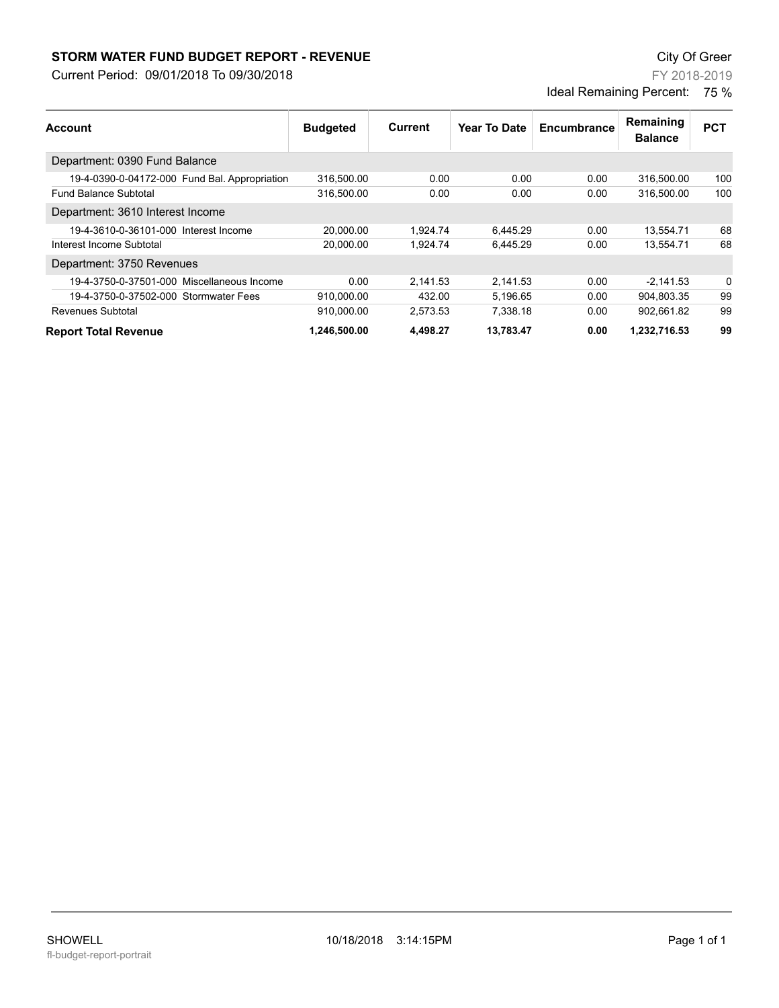## **STORM WATER FUND BUDGET REPORT - REVENUE City Of Greer** City Of Greer

Current Period: 09/01/2018 To 09/30/2018

FY 2018-2019 Ideal Remaining Percent: 75 %

| Account                                       | <b>Budgeted</b> | Current  | Year To Date | Encumbrance | Remaining<br><b>Balance</b> | <b>PCT</b> |
|-----------------------------------------------|-----------------|----------|--------------|-------------|-----------------------------|------------|
| Department: 0390 Fund Balance                 |                 |          |              |             |                             |            |
| 19-4-0390-0-04172-000 Fund Bal. Appropriation | 316,500.00      | 0.00     | 0.00         | 0.00        | 316,500.00                  | 100        |
| <b>Fund Balance Subtotal</b>                  | 316,500.00      | 0.00     | 0.00         | 0.00        | 316.500.00                  | 100        |
| Department: 3610 Interest Income              |                 |          |              |             |                             |            |
| 19-4-3610-0-36101-000 Interest Income         | 20.000.00       | 1,924.74 | 6.445.29     | 0.00        | 13,554.71                   | 68         |
| Interest Income Subtotal                      | 20.000.00       | 1.924.74 | 6,445.29     | 0.00        | 13.554.71                   | 68         |
| Department: 3750 Revenues                     |                 |          |              |             |                             |            |
| 19-4-3750-0-37501-000 Miscellaneous Income    | 0.00            | 2.141.53 | 2,141.53     | 0.00        | $-2.141.53$                 | 0          |
| 19-4-3750-0-37502-000 Stormwater Fees         | 910,000.00      | 432.00   | 5,196.65     | 0.00        | 904,803.35                  | 99         |
| Revenues Subtotal                             | 910.000.00      | 2.573.53 | 7,338.18     | 0.00        | 902.661.82                  | 99         |
| <b>Report Total Revenue</b>                   | 1.246.500.00    | 4.498.27 | 13.783.47    | 0.00        | 1,232,716.53                | 99         |